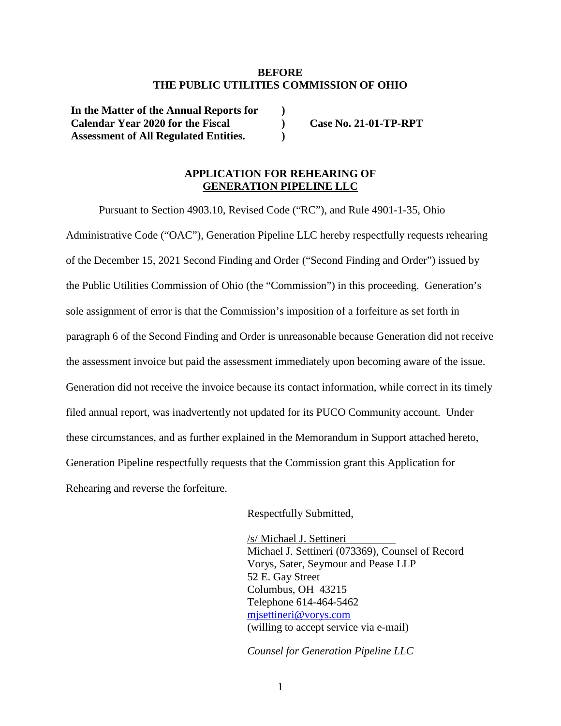### **BEFORE THE PUBLIC UTILITIES COMMISSION OF OHIO**

**) ) )** 

**In the Matter of the Annual Reports for Calendar Year 2020 for the Fiscal Assessment of All Regulated Entities.** 

**Case No. 21-01-TP-RPT** 

### **APPLICATION FOR REHEARING OF GENERATION PIPELINE LLC**

Pursuant to Section 4903.10, Revised Code ("RC"), and Rule 4901-1-35, Ohio Administrative Code ("OAC"), Generation Pipeline LLC hereby respectfully requests rehearing of the December 15, 2021 Second Finding and Order ("Second Finding and Order") issued by the Public Utilities Commission of Ohio (the "Commission") in this proceeding. Generation's sole assignment of error is that the Commission's imposition of a forfeiture as set forth in paragraph 6 of the Second Finding and Order is unreasonable because Generation did not receive the assessment invoice but paid the assessment immediately upon becoming aware of the issue. Generation did not receive the invoice because its contact information, while correct in its timely filed annual report, was inadvertently not updated for its PUCO Community account. Under these circumstances, and as further explained in the Memorandum in Support attached hereto, Generation Pipeline respectfully requests that the Commission grant this Application for Rehearing and reverse the forfeiture.

Respectfully Submitted,

/s/ Michael J. Settineri Michael J. Settineri (073369), Counsel of Record Vorys, Sater, Seymour and Pease LLP 52 E. Gay Street Columbus, OH 43215 Telephone 614-464-5462 mjsettineri@vorys.com (willing to accept service via e-mail)

*Counsel for Generation Pipeline LLC*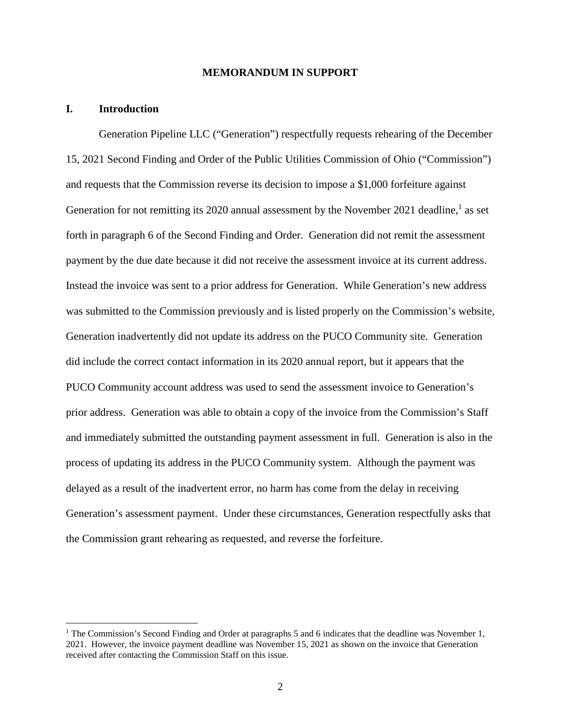### **MEMORANDUM IN SUPPORT**

#### **I. Introduction**

Generation Pipeline LLC ("Generation") respectfully requests rehearing of the December 15, 2021 Second Finding and Order of the Public Utilities Commission of Ohio ("Commission") and requests that the Commission reverse its decision to impose a \$1,000 forfeiture against Generation for not remitting its 2020 annual assessment by the November 2021 deadline,<sup>1</sup> as set forth in paragraph 6 of the Second Finding and Order. Generation did not remit the assessment payment by the due date because it did not receive the assessment invoice at its current address. Instead the invoice was sent to a prior address for Generation. While Generation's new address was submitted to the Commission previously and is listed properly on the Commission's website, Generation inadvertently did not update its address on the PUCO Community site. Generation did include the correct contact information in its 2020 annual report, but it appears that the PUCO Community account address was used to send the assessment invoice to Generation's prior address. Generation was able to obtain a copy of the invoice from the Commission's Staff and immediately submitted the outstanding payment assessment in full. Generation is also in the process of updating its address in the PUCO Community system. Although the payment was delayed as a result of the inadvertent error, no harm has come from the delay in receiving Generation's assessment payment. Under these circumstances, Generation respectfully asks that the Commission grant rehearing as requested, and reverse the forfeiture.

<sup>&</sup>lt;sup>1</sup> The Commission's Second Finding and Order at paragraphs 5 and 6 indicates that the deadline was November 1, 2021. However, the invoice payment deadline was November 15, 2021 as shown on the invoice that Generation received after contacting the Commission Staff on this issue.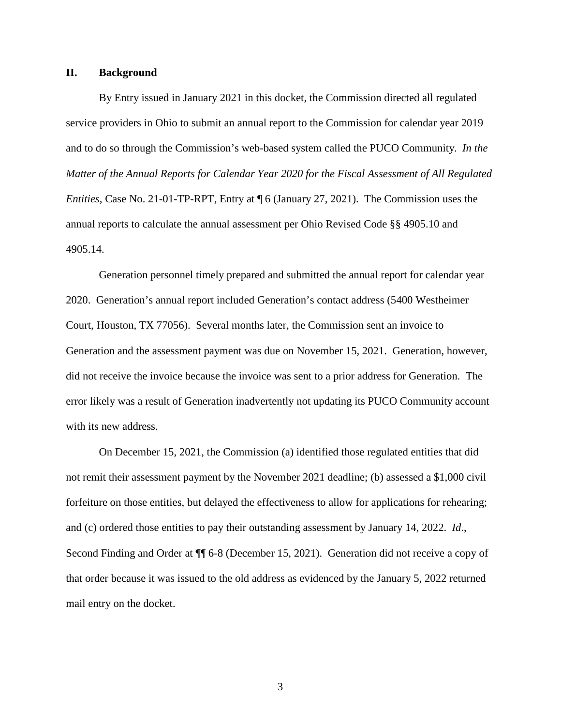### **II. Background**

By Entry issued in January 2021 in this docket, the Commission directed all regulated service providers in Ohio to submit an annual report to the Commission for calendar year 2019 and to do so through the Commission's web-based system called the PUCO Community. *In the Matter of the Annual Reports for Calendar Year 2020 for the Fiscal Assessment of All Regulated Entities*, Case No. 21-01-TP-RPT, Entry at ¶ 6 (January 27, 2021). The Commission uses the annual reports to calculate the annual assessment per Ohio Revised Code §§ 4905.10 and 4905.14.

Generation personnel timely prepared and submitted the annual report for calendar year 2020. Generation's annual report included Generation's contact address (5400 Westheimer Court, Houston, TX 77056). Several months later, the Commission sent an invoice to Generation and the assessment payment was due on November 15, 2021. Generation, however, did not receive the invoice because the invoice was sent to a prior address for Generation. The error likely was a result of Generation inadvertently not updating its PUCO Community account with its new address.

On December 15, 2021, the Commission (a) identified those regulated entities that did not remit their assessment payment by the November 2021 deadline; (b) assessed a \$1,000 civil forfeiture on those entities, but delayed the effectiveness to allow for applications for rehearing; and (c) ordered those entities to pay their outstanding assessment by January 14, 2022. *Id*., Second Finding and Order at ¶¶ 6-8 (December 15, 2021). Generation did not receive a copy of that order because it was issued to the old address as evidenced by the January 5, 2022 returned mail entry on the docket.

3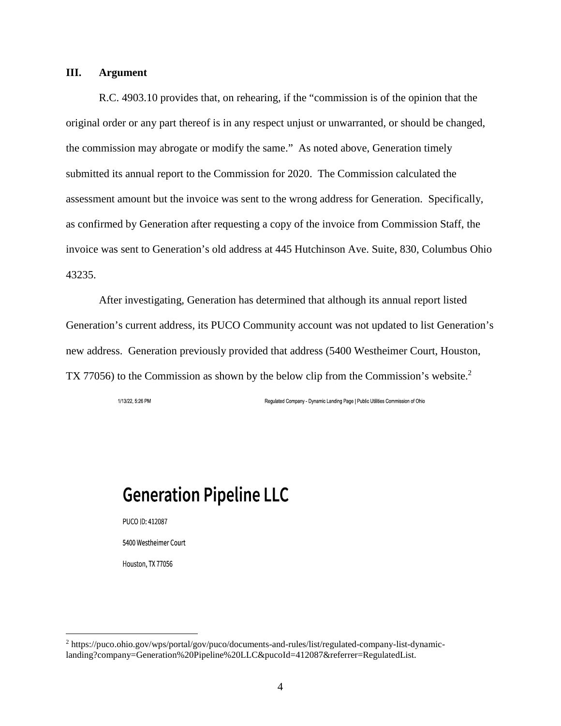### **III. Argument**

R.C. 4903.10 provides that, on rehearing, if the "commission is of the opinion that the original order or any part thereof is in any respect unjust or unwarranted, or should be changed, the commission may abrogate or modify the same." As noted above, Generation timely submitted its annual report to the Commission for 2020. The Commission calculated the assessment amount but the invoice was sent to the wrong address for Generation. Specifically, as confirmed by Generation after requesting a copy of the invoice from Commission Staff, the invoice was sent to Generation's old address at 445 Hutchinson Ave. Suite, 830, Columbus Ohio 43235.

After investigating, Generation has determined that although its annual report listed Generation's current address, its PUCO Community account was not updated to list Generation's new address. Generation previously provided that address (5400 Westheimer Court, Houston, TX 77056) to the Commission as shown by the below clip from the Commission's website.<sup>2</sup>

1/13/22, 5:26 PM

Regulated Company - Dynamic Landing Page | Public Utilities Commission of Ohio

# **Generation Pipeline LLC**

PUCO ID: 412087

5400 Westheimer Court

Houston, TX 77056

<sup>&</sup>lt;sup>2</sup> https://puco.ohio.gov/wps/portal/gov/puco/documents-and-rules/list/regulated-company-list-dynamiclanding?company=Generation%20Pipeline%20LLC&pucoId=412087&referrer=RegulatedList.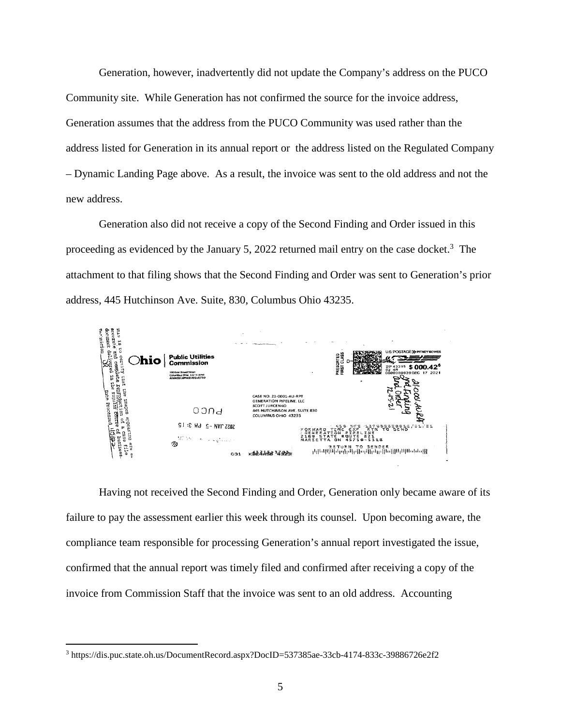Generation, however, inadvertently did not update the Company's address on the PUCO Community site. While Generation has not confirmed the source for the invoice address, Generation assumes that the address from the PUCO Community was used rather than the address listed for Generation in its annual report or the address listed on the Regulated Company – Dynamic Landing Page above. As a result, the invoice was sent to the old address and not the new address.

Generation also did not receive a copy of the Second Finding and Order issued in this proceeding as evidenced by the January 5, 2022 returned mail entry on the case docket.<sup>3</sup> The attachment to that filing shows that the Second Finding and Order was sent to Generation's prior address, 445 Hutchinson Ave. Suite, 830, Columbus Ohio 43235.



Having not received the Second Finding and Order, Generation only became aware of its failure to pay the assessment earlier this week through its counsel. Upon becoming aware, the compliance team responsible for processing Generation's annual report investigated the issue, confirmed that the annual report was timely filed and confirmed after receiving a copy of the invoice from Commission Staff that the invoice was sent to an old address. Accounting

<sup>3</sup> https://dis.puc.state.oh.us/DocumentRecord.aspx?DocID=537385ae-33cb-4174-833c-39886726e2f2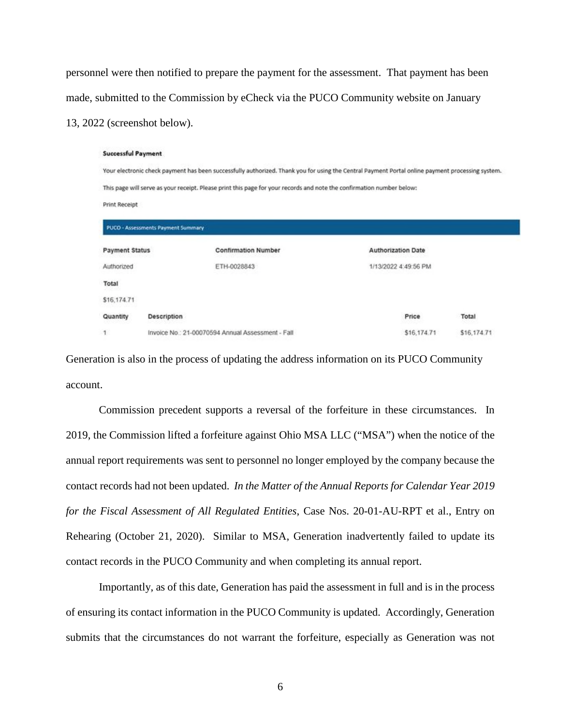personnel were then notified to prepare the payment for the assessment. That payment has been made, submitted to the Commission by eCheck via the PUCO Community website on January 13, 2022 (screenshot below).

#### **Successful Payment**

Your electronic check payment has been successfully authorized. Thank you for using the Central Payment Portal online payment processing system. This page will serve as your receipt. Please print this page for your records and note the confirmation number below: **Print Receipt** 

| <b>PUCO - Assessments Payment Summary</b> |                                                   |                            |                           |             |
|-------------------------------------------|---------------------------------------------------|----------------------------|---------------------------|-------------|
| <b>Payment Status</b>                     |                                                   | <b>Confirmation Number</b> | <b>Authorization Date</b> |             |
| Authorized                                |                                                   | ETH-0028843                | 1/13/2022 4:49:56 PM      |             |
| Total                                     |                                                   |                            |                           |             |
| \$16,174.71                               |                                                   |                            |                           |             |
| Quantity                                  | Description                                       |                            | Price                     | Total       |
| 1                                         | Invoice No.: 21-00070594 Annual Assessment - Fall |                            | \$16,174.71               | \$16,174.71 |

Generation is also in the process of updating the address information on its PUCO Community account.

Commission precedent supports a reversal of the forfeiture in these circumstances. In 2019, the Commission lifted a forfeiture against Ohio MSA LLC ("MSA") when the notice of the annual report requirements was sent to personnel no longer employed by the company because the contact records had not been updated. *In the Matter of the Annual Reports for Calendar Year 2019 for the Fiscal Assessment of All Regulated Entities*, Case Nos. 20-01-AU-RPT et al., Entry on Rehearing (October 21, 2020). Similar to MSA, Generation inadvertently failed to update its contact records in the PUCO Community and when completing its annual report.

Importantly, as of this date, Generation has paid the assessment in full and is in the process of ensuring its contact information in the PUCO Community is updated. Accordingly, Generation submits that the circumstances do not warrant the forfeiture, especially as Generation was not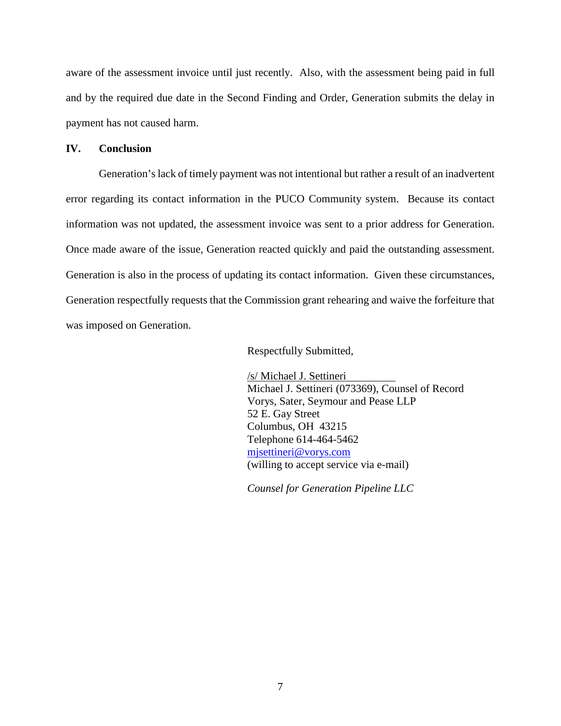aware of the assessment invoice until just recently. Also, with the assessment being paid in full and by the required due date in the Second Finding and Order, Generation submits the delay in payment has not caused harm.

### **IV. Conclusion**

Generation's lack of timely payment was not intentional but rather a result of an inadvertent error regarding its contact information in the PUCO Community system. Because its contact information was not updated, the assessment invoice was sent to a prior address for Generation. Once made aware of the issue, Generation reacted quickly and paid the outstanding assessment. Generation is also in the process of updating its contact information. Given these circumstances, Generation respectfully requests that the Commission grant rehearing and waive the forfeiture that was imposed on Generation.

Respectfully Submitted,

/s/ Michael J. Settineri Michael J. Settineri (073369), Counsel of Record Vorys, Sater, Seymour and Pease LLP 52 E. Gay Street Columbus, OH 43215 Telephone 614-464-5462 mjsettineri@vorys.com (willing to accept service via e-mail)

*Counsel for Generation Pipeline LLC*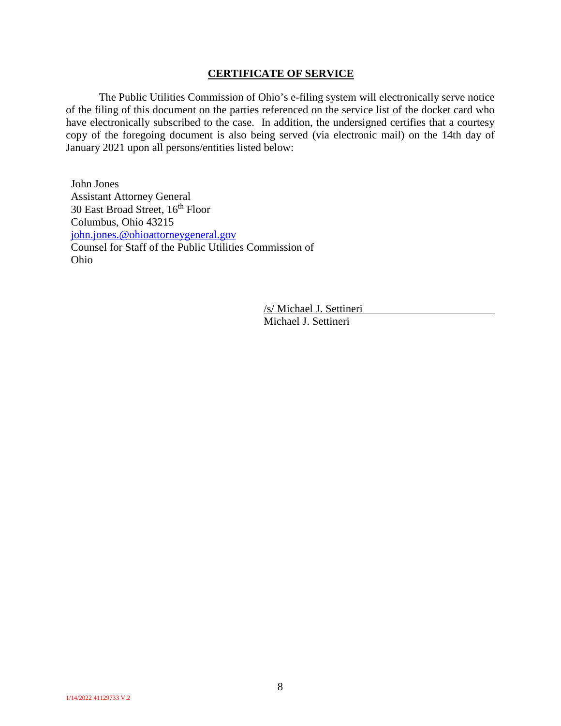### **CERTIFICATE OF SERVICE**

The Public Utilities Commission of Ohio's e-filing system will electronically serve notice of the filing of this document on the parties referenced on the service list of the docket card who have electronically subscribed to the case. In addition, the undersigned certifies that a courtesy copy of the foregoing document is also being served (via electronic mail) on the 14th day of January 2021 upon all persons/entities listed below:

John Jones Assistant Attorney General 30 East Broad Street, 16<sup>th</sup> Floor Columbus, Ohio 43215 john.jones.@ohioattorneygeneral.gov Counsel for Staff of the Public Utilities Commission of Ohio

> /s/ Michael J. Settineri Michael J. Settineri